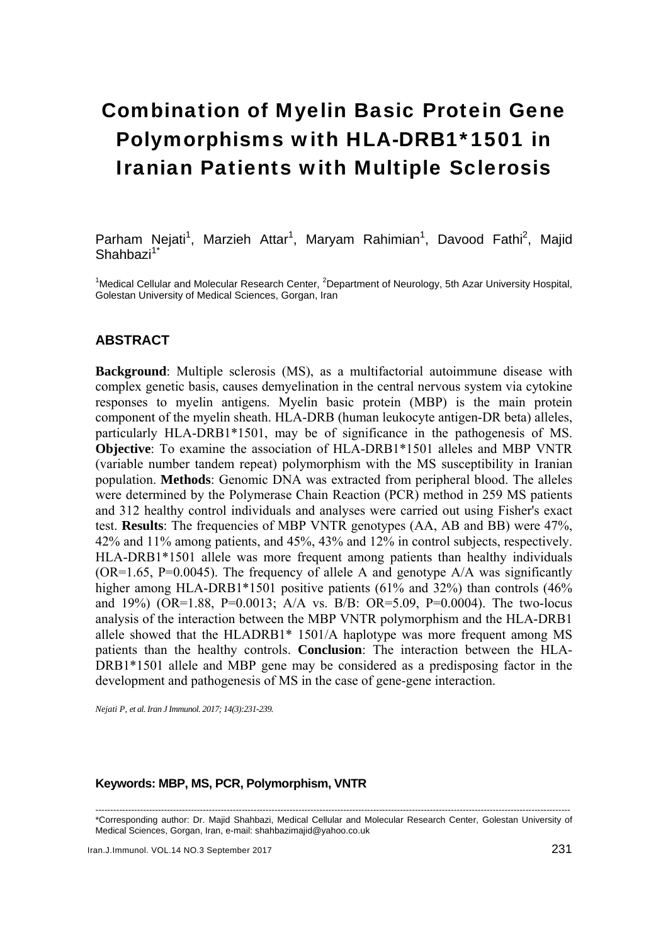# Combination of Myelin Basic Protein Gene Polymorphisms with HLA-DRB1\*1501 in Iranian Patients with Multiple Sclerosis

Parham Nejati<sup>1</sup>, Marzieh Attar<sup>1</sup>, Maryam Rahimian<sup>1</sup>, Davood Fathi<sup>2</sup>, Majid  $Shahbazi<sup>1*</sup>$ 

<sup>1</sup>Medical Cellular and Molecular Research Center, <sup>2</sup>Department of Neurology, 5th Azar University Hospital, Golestan University of Medical Sciences, Gorgan, Iran

### **ABSTRACT**

**Background**: Multiple sclerosis (MS), as a multifactorial autoimmune disease with complex genetic basis, causes demyelination in the central nervous system via cytokine responses to myelin antigens. Myelin basic protein (MBP) is the main protein component of the myelin sheath. HLA-DRB (human leukocyte antigen-DR beta) alleles, particularly HLA-DRB1\*1501, may be of significance in the pathogenesis of MS. **Objective**: To examine the association of HLA-DRB1\*1501 alleles and MBP VNTR (variable number tandem repeat) polymorphism with the MS susceptibility in Iranian population. **Methods**: Genomic DNA was extracted from peripheral blood. The alleles were determined by the Polymerase Chain Reaction (PCR) method in 259 MS patients and 312 healthy control individuals and analyses were carried out using Fisher's exact test. **Results**: The frequencies of MBP VNTR genotypes (AA, AB and BB) were 47%, 42% and 11% among patients, and 45%, 43% and 12% in control subjects, respectively. HLA-DRB1\*1501 allele was more frequent among patients than healthy individuals  $(OR=1.65, P=0.0045)$ . The frequency of allele A and genotype A/A was significantly higher among HLA-DRB1\*1501 positive patients (61% and 32%) than controls (46% and 19%) (OR=1.88, P=0.0013; A/A vs. B/B: OR=5.09, P=0.0004). The two-locus analysis of the interaction between the MBP VNTR polymorphism and the HLA-DRB1 allele showed that the HLADRB1\* 1501/A haplotype was more frequent among MS patients than the healthy controls. **Conclusion**: The interaction between the HLA-DRB1\*1501 allele and MBP gene may be considered as a predisposing factor in the development and pathogenesis of MS in the case of gene-gene interaction.

*Nejati P, et al. Iran J Immunol. 2017; 14(3):231-239.* 

#### **Keywords: MBP, MS, PCR, Polymorphism, VNTR**

--------------------------------------------------------------------------------------------------------------------------------------------------------------- \*Corresponding author: Dr. Majid Shahbazi, Medical Cellular and Molecular Research Center, Golestan University of Medical Sciences, Gorgan, Iran, e-mail: shahbazimajid@yahoo.co.uk

Iran.J.Immunol. VOL.14 NO.3 September 2017 231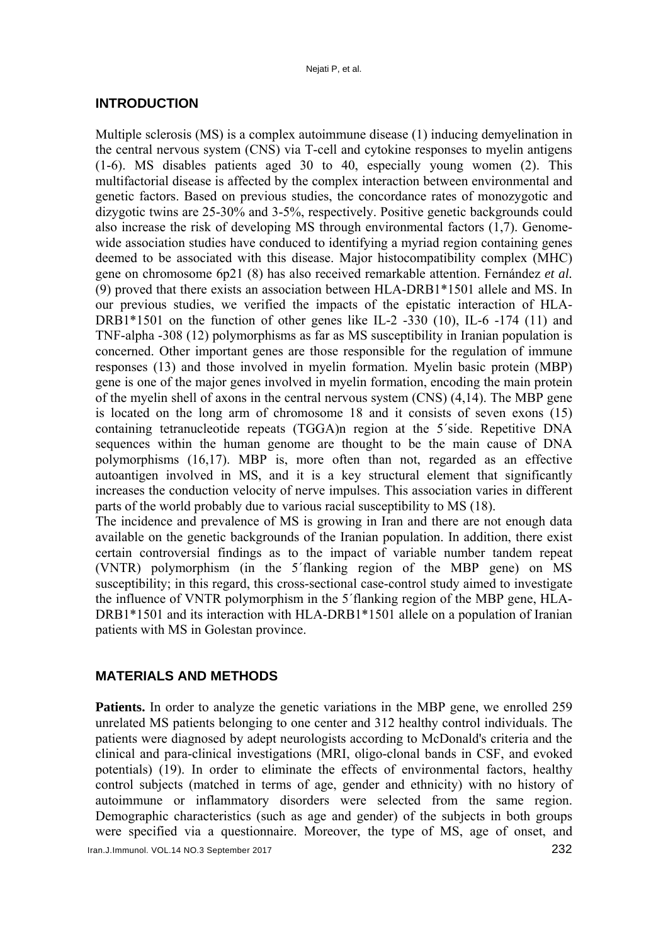#### **INTRODUCTION**

Multiple sclerosis (MS) is a complex autoimmune disease (1) inducing demyelination in the central nervous system (CNS) via T-cell and cytokine responses to myelin antigens (1-6). MS disables patients aged 30 to 40, especially young women (2). This multifactorial disease is affected by the complex interaction between environmental and genetic factors. Based on previous studies, the concordance rates of monozygotic and dizygotic twins are 25-30% and 3-5%, respectively. Positive genetic backgrounds could also increase the risk of developing MS through environmental factors (1,7). Genomewide association studies have conduced to identifying a myriad region containing genes deemed to be associated with this disease. Major histocompatibility complex (MHC) gene on chromosome 6p21 (8) has also received remarkable attention. Fernández *et al.* (9) proved that there exists an association between HLA-DRB1\*1501 allele and MS. In our previous studies, we verified the impacts of the epistatic interaction of HLA-DRB1 $*1501$  on the function of other genes like IL-2 -330 (10), IL-6 -174 (11) and TNF-alpha -308 (12) polymorphisms as far as MS susceptibility in Iranian population is concerned. Other important genes are those responsible for the regulation of immune responses (13) and those involved in myelin formation. Myelin basic protein (MBP) gene is one of the major genes involved in myelin formation, encoding the main protein of the myelin shell of axons in the central nervous system (CNS) (4,14). The MBP gene is located on the long arm of chromosome 18 and it consists of seven exons (15) containing tetranucleotide repeats (TGGA)n region at the 5´side. Repetitive DNA sequences within the human genome are thought to be the main cause of DNA polymorphisms (16,17). MBP is, more often than not, regarded as an effective autoantigen involved in MS, and it is a key structural element that significantly increases the conduction velocity of nerve impulses. This association varies in different parts of the world probably due to various racial susceptibility to MS (18).

The incidence and prevalence of MS is growing in Iran and there are not enough data available on the genetic backgrounds of the Iranian population. In addition, there exist certain controversial findings as to the impact of variable number tandem repeat (VNTR) polymorphism (in the 5´flanking region of the MBP gene) on MS susceptibility; in this regard, this cross-sectional case-control study aimed to investigate the influence of VNTR polymorphism in the 5´flanking region of the MBP gene, HLA-DRB1\*1501 and its interaction with HLA-DRB1\*1501 allele on a population of Iranian patients with MS in Golestan province.

### **MATERIALS AND METHODS**

Patients. In order to analyze the genetic variations in the MBP gene, we enrolled 259 unrelated MS patients belonging to one center and 312 healthy control individuals. The patients were diagnosed by adept neurologists according to McDonald's criteria and the clinical and para-clinical investigations (MRI, oligo-clonal bands in CSF, and evoked potentials) (19). In order to eliminate the effects of environmental factors, healthy control subjects (matched in terms of age, gender and ethnicity) with no history of autoimmune or inflammatory disorders were selected from the same region. Demographic characteristics (such as age and gender) of the subjects in both groups were specified via a questionnaire. Moreover, the type of MS, age of onset, and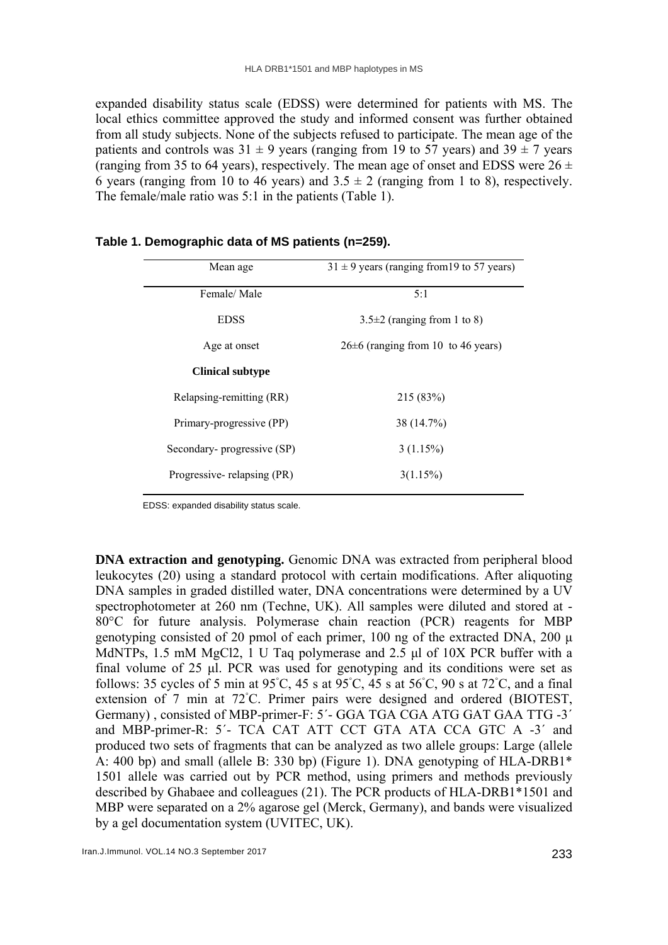expanded disability status scale (EDSS) were determined for patients with MS. The local ethics committee approved the study and informed consent was further obtained from all study subjects. None of the subjects refused to participate. The mean age of the patients and controls was  $31 \pm 9$  years (ranging from 19 to 57 years) and  $39 \pm 7$  years (ranging from 35 to 64 years), respectively. The mean age of onset and EDSS were  $26 \pm$ 6 years (ranging from 10 to 46 years) and  $3.5 \pm 2$  (ranging from 1 to 8), respectively. The female/male ratio was 5:1 in the patients (Table 1).

| Mean age                   | $31 \pm 9$ years (ranging from 19 to 57 years) |  |  |  |
|----------------------------|------------------------------------------------|--|--|--|
| Female/Male                | 5:1                                            |  |  |  |
| <b>EDSS</b>                | $3.5\pm2$ (ranging from 1 to 8)                |  |  |  |
| Age at onset               | $26\pm6$ (ranging from 10 to 46 years)         |  |  |  |
| <b>Clinical subtype</b>    |                                                |  |  |  |
| Relapsing-remitting (RR)   | 215 (83%)                                      |  |  |  |
| Primary-progressive (PP)   | 38 (14.7%)                                     |  |  |  |
| Secondary-progressive (SP) | 3(1.15%)                                       |  |  |  |
| Progressive-relapsing (PR) | 3(1.15%)                                       |  |  |  |

## **Table 1. Demographic data of MS patients (n=259).**

EDSS: expanded disability status scale.

**DNA extraction and genotyping.** Genomic DNA was extracted from peripheral blood leukocytes (20) using a standard protocol with certain modifications. After aliquoting DNA samples in graded distilled water, DNA concentrations were determined by a UV spectrophotometer at 260 nm (Techne, UK). All samples were diluted and stored at - 80°C for future analysis. Polymerase chain reaction (PCR) reagents for MBP genotyping consisted of 20 pmol of each primer, 100 ng of the extracted DNA, 200 μ MdNTPs, 1.5 mM MgCl2, 1 U Taq polymerase and 2.5 μl of 10X PCR buffer with a final volume of 25 μl. PCR was used for genotyping and its conditions were set as follows: 35 cycles of 5 min at 95°C, 45 s at 95°C, 45 s at 56°C, 90 s at 72°C, and a final extension of 7 min at 72℃. Primer pairs were designed and ordered (BIOTEST, Germany) , consisted of MBP-primer-F: 5΄- GGA TGA CGA ATG GAT GAA TTG -3΄ and MBP-primer-R: 5΄- TCA CAT ATT CCT GTA ATA CCA GTC A -3΄ and produced two sets of fragments that can be analyzed as two allele groups: Large (allele A: 400 bp) and small (allele B: 330 bp) (Figure 1). DNA genotyping of HLA-DRB1\* 1501 allele was carried out by PCR method, using primers and methods previously described by Ghabaee and colleagues (21). The PCR products of HLA-DRB1\*1501 and MBP were separated on a 2% agarose gel (Merck, Germany), and bands were visualized by a gel documentation system (UVITEC, UK).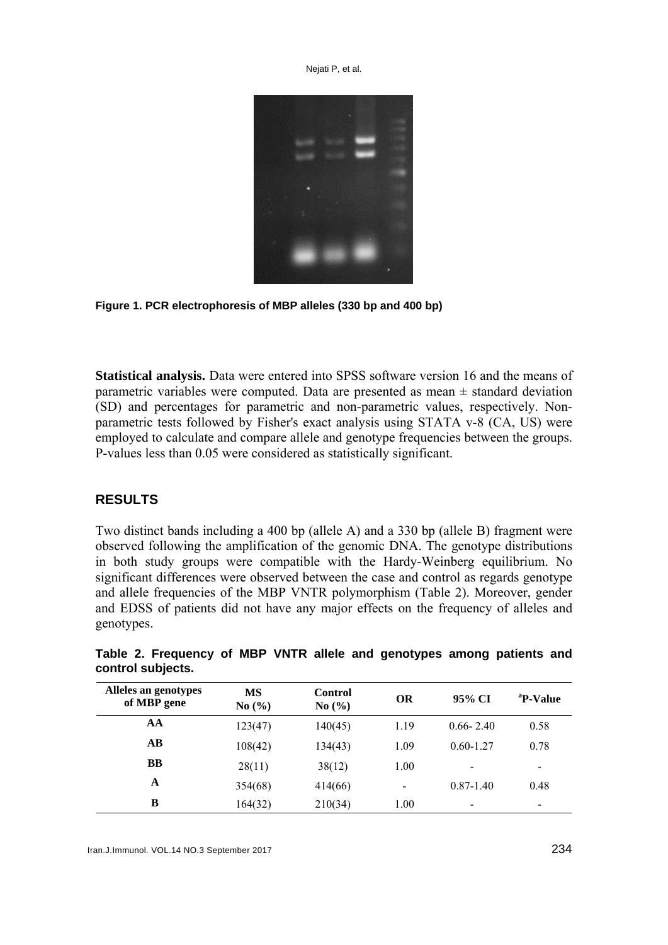



**Statistical analysis.** Data were entered into SPSS software version 16 and the means of parametric variables were computed. Data are presented as mean  $\pm$  standard deviation (SD) and percentages for parametric and non-parametric values, respectively. Nonparametric tests followed by Fisher's exact analysis using STATA v-8 (CA, US) were employed to calculate and compare allele and genotype frequencies between the groups. P-values less than 0.05 were considered as statistically significant.

## **RESULTS**

Two distinct bands including a 400 bp (allele A) and a 330 bp (allele B) fragment were observed following the amplification of the genomic DNA. The genotype distributions in both study groups were compatible with the Hardy-Weinberg equilibrium. No significant differences were observed between the case and control as regards genotype and allele frequencies of the MBP VNTR polymorphism (Table 2). Moreover, gender and EDSS of patients did not have any major effects on the frequency of alleles and genotypes.

| Alleles an genotypes<br>of MBP gene | <b>MS</b><br>No(%) | <b>Control</b><br>No(%) | <b>OR</b>       | 95% CI        | <sup>a</sup> P-Value |
|-------------------------------------|--------------------|-------------------------|-----------------|---------------|----------------------|
| AA                                  | 123(47)            | 140(45)                 | 1.19            | $0.66 - 2.40$ | 0.58                 |
| $\bf AB$                            | 108(42)            | 134(43)                 | 1.09            | $0.60 - 1.27$ | 0.78                 |
| <b>BB</b>                           | 28(11)             | 38(12)                  | 1.00            |               | $\,$                 |
| A                                   | 354(68)            | 414(66)                 | $\qquad \qquad$ | $0.87 - 1.40$ | 0.48                 |
| B                                   | 164(32)            | 210(34)                 | 1.00            | -             |                      |

**Table 2. Frequency of MBP VNTR allele and genotypes among patients and control subjects.**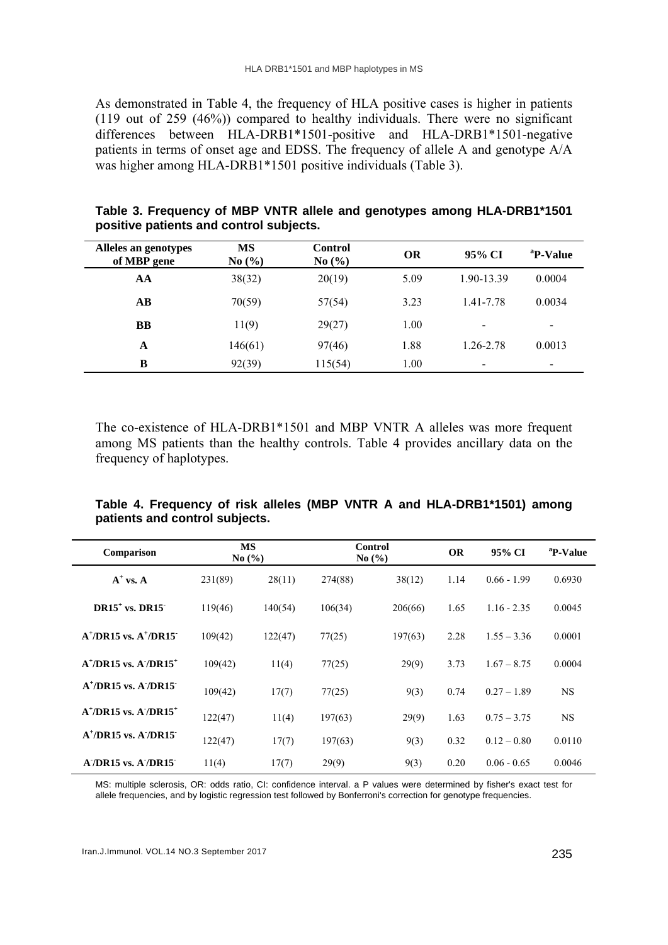As demonstrated in Table 4, the frequency of HLA positive cases is higher in patients (119 out of 259 (46%)) compared to healthy individuals. There were no significant differences between HLA-DRB1\*1501-positive and HLA-DRB1\*1501-negative patients in terms of onset age and EDSS. The frequency of allele A and genotype A/A was higher among HLA-DRB1\*1501 positive individuals (Table 3).

| Alleles an genotypes<br>of MBP gene | MS<br>No $(\% )$ | <b>Control</b><br>No $(\% )$ | OR   | 95% CI                   | <sup>a</sup> P-Value     |
|-------------------------------------|------------------|------------------------------|------|--------------------------|--------------------------|
| AA                                  | 38(32)           | 20(19)                       | 5.09 | 1.90-13.39               | 0.0004                   |
| $\mathbf{A}\mathbf{B}$              | 70(59)           | 57(54)                       | 3.23 | 1.41-7.78                | 0.0034                   |
| <b>BB</b>                           | 11(9)            | 29(27)                       | 1.00 | $\overline{\phantom{0}}$ | $\overline{\phantom{0}}$ |
| A                                   | 146(61)          | 97(46)                       | 1.88 | 1.26-2.78                | 0.0013                   |
| B                                   | 92(39)           | 115(54)                      | 1.00 | $\overline{\phantom{0}}$ | $\,$                     |

**Table 3. Frequency of MBP VNTR allele and genotypes among HLA-DRB1\*1501 positive patients and control subjects.**

The co-existence of HLA-DRB1\*1501 and MBP VNTR A alleles was more frequent among MS patients than the healthy controls. Table 4 provides ancillary data on the frequency of haplotypes.

| Table 4. Frequency of risk alleles (MBP VNTR A and HLA-DRB1*1501) among |  |  |  |
|-------------------------------------------------------------------------|--|--|--|
| patients and control subjects.                                          |  |  |  |

| Comparison                                          | <b>MS</b><br>No(%) |         |         | <b>Control</b><br>No $(\% )$ |      | 95% CI        | <sup>a</sup> P-Value |
|-----------------------------------------------------|--------------------|---------|---------|------------------------------|------|---------------|----------------------|
| $A^+$ vs. A                                         | 231(89)            | 28(11)  | 274(88) | 38(12)                       | 1.14 | $0.66 - 1.99$ | 0.6930               |
| $DR15+$ vs. DR15                                    | 119(46)            | 140(54) | 106(34) | 206(66)                      | 1.65 | $1.16 - 2.35$ | 0.0045               |
| $A^{\dagger}/DR15$ vs. $A^{\dagger}/DR15$           | 109(42)            | 122(47) | 77(25)  | 197(63)                      | 2.28 | $1.55 - 3.36$ | 0.0001               |
| $A^{\dagger}/DR15$ vs. $A'/DR15^{\dagger}$          | 109(42)            | 11(4)   | 77(25)  | 29(9)                        | 3.73 | $1.67 - 8.75$ | 0.0004               |
| $A^{\dagger}/DR15$ vs. $A^{\dagger}/DR15$           | 109(42)            | 17(7)   | 77(25)  | 9(3)                         | 0.74 | $0.27 - 1.89$ | <b>NS</b>            |
| $A^{\dagger}/DR15$ vs. $A^{\dagger}/DR15^{\dagger}$ | 122(47)            | 11(4)   | 197(63) | 29(9)                        | 1.63 | $0.75 - 3.75$ | <b>NS</b>            |
| $A^{\dagger}/DR15$ vs. $A^{\dagger}/DR15$           | 122(47)            | 17(7)   | 197(63) | 9(3)                         | 0.32 | $0.12 - 0.80$ | 0.0110               |
| $A'/DR15$ vs. $A'/DR15$                             | 11(4)              | 17(7)   | 29(9)   | 9(3)                         | 0.20 | $0.06 - 0.65$ | 0.0046               |

MS: multiple sclerosis, OR: odds ratio, CI: confidence interval. a P values were determined by fisher's exact test for allele frequencies, and by logistic regression test followed by Bonferroni's correction for genotype frequencies.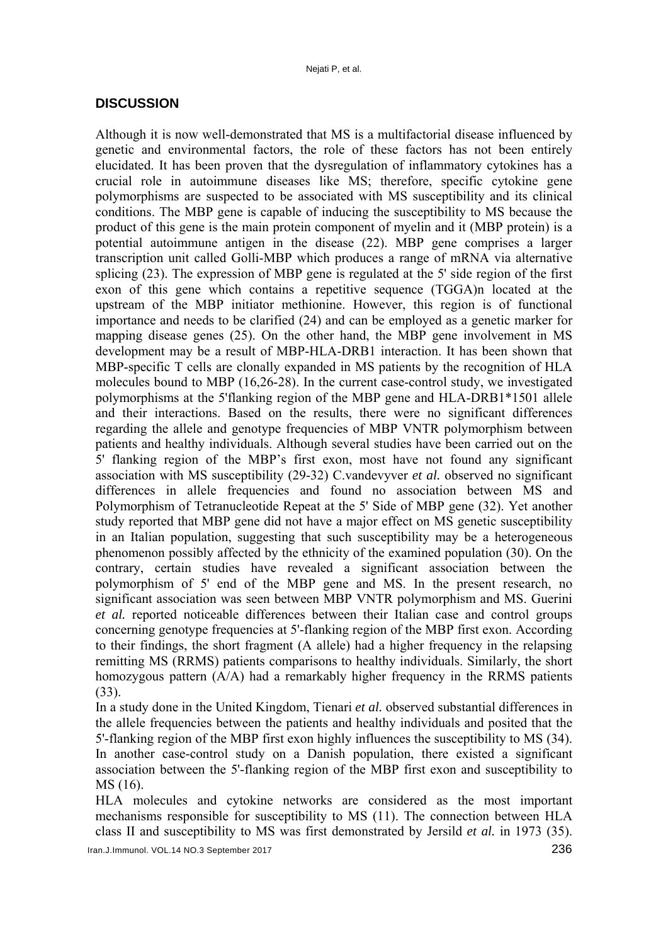#### **DISCUSSION**

Although it is now well-demonstrated that MS is a multifactorial disease influenced by genetic and environmental factors, the role of these factors has not been entirely elucidated. It has been proven that the dysregulation of inflammatory cytokines has a crucial role in autoimmune diseases like MS; therefore, specific cytokine gene polymorphisms are suspected to be associated with MS susceptibility and its clinical conditions. The MBP gene is capable of inducing the susceptibility to MS because the product of this gene is the main protein component of myelin and it (MBP protein) is a potential autoimmune antigen in the disease (22). MBP gene comprises a larger transcription unit called Golli-MBP which produces a range of mRNA via alternative splicing (23). The expression of MBP gene is regulated at the 5' side region of the first exon of this gene which contains a repetitive sequence (TGGA)n located at the upstream of the MBP initiator methionine. However, this region is of functional importance and needs to be clarified (24) and can be employed as a genetic marker for mapping disease genes (25). On the other hand, the MBP gene involvement in MS development may be a result of MBP-HLA-DRB1 interaction. It has been shown that MBP-specific T cells are clonally expanded in MS patients by the recognition of HLA molecules bound to MBP (16,26-28). In the current case-control study, we investigated polymorphisms at the 5'flanking region of the MBP gene and HLA-DRB1\*1501 allele and their interactions. Based on the results, there were no significant differences regarding the allele and genotype frequencies of MBP VNTR polymorphism between patients and healthy individuals. Although several studies have been carried out on the 5' flanking region of the MBP's first exon, most have not found any significant association with MS susceptibility (29-32) C.vandevyver *et al.* observed no significant differences in allele frequencies and found no association between MS and Polymorphism of Tetranucleotide Repeat at the 5' Side of MBP gene (32). Yet another study reported that MBP gene did not have a major effect on MS genetic susceptibility in an Italian population, suggesting that such susceptibility may be a heterogeneous phenomenon possibly affected by the ethnicity of the examined population (30). On the contrary, certain studies have revealed a significant association between the polymorphism of 5' end of the MBP gene and MS. In the present research, no significant association was seen between MBP VNTR polymorphism and MS. Guerini *et al.* reported noticeable differences between their Italian case and control groups concerning genotype frequencies at 5'-flanking region of the MBP first exon. According to their findings, the short fragment (A allele) had a higher frequency in the relapsing remitting MS (RRMS) patients comparisons to healthy individuals. Similarly, the short homozygous pattern (A/A) had a remarkably higher frequency in the RRMS patients (33).

In a study done in the United Kingdom, Tienari *et al.* observed substantial differences in the allele frequencies between the patients and healthy individuals and posited that the 5'-flanking region of the MBP first exon highly influences the susceptibility to MS (34). In another case-control study on a Danish population, there existed a significant association between the 5'-flanking region of the MBP first exon and susceptibility to MS (16).

HLA molecules and cytokine networks are considered as the most important mechanisms responsible for susceptibility to MS (11). The connection between HLA class II and susceptibility to MS was first demonstrated by Jersild *et al.* in 1973 (35).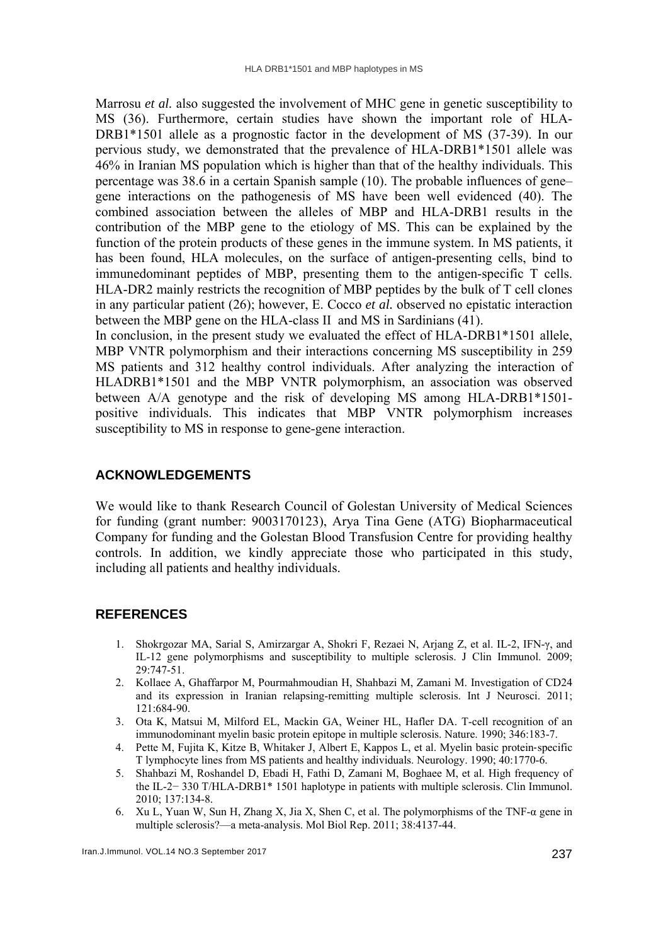Marrosu *et al.* also suggested the involvement of MHC gene in genetic susceptibility to MS (36). Furthermore, certain studies have shown the important role of HLA-DRB1\*1501 allele as a prognostic factor in the development of MS (37-39). In our pervious study, we demonstrated that the prevalence of HLA-DRB1\*1501 allele was 46% in Iranian MS population which is higher than that of the healthy individuals. This percentage was 38.6 in a certain Spanish sample (10). The probable influences of gene– gene interactions on the pathogenesis of MS have been well evidenced (40). The combined association between the alleles of MBP and HLA-DRB1 results in the contribution of the MBP gene to the etiology of MS. This can be explained by the function of the protein products of these genes in the immune system. In MS patients, it has been found, HLA molecules, on the surface of antigen-presenting cells, bind to immunedominant peptides of MBP, presenting them to the antigen-specific T cells. HLA-DR2 mainly restricts the recognition of MBP peptides by the bulk of T cell clones in any particular patient (26); however, E. Cocco *et al.* observed no epistatic interaction between the MBP gene on the HLA-class II and MS in Sardinians (41).

In conclusion, in the present study we evaluated the effect of HLA-DRB1\*1501 allele, MBP VNTR polymorphism and their interactions concerning MS susceptibility in 259 MS patients and 312 healthy control individuals. After analyzing the interaction of HLADRB1\*1501 and the MBP VNTR polymorphism, an association was observed between A/A genotype and the risk of developing MS among HLA-DRB1\*1501 positive individuals. This indicates that MBP VNTR polymorphism increases susceptibility to MS in response to gene-gene interaction.

# **ACKNOWLEDGEMENTS**

We would like to thank Research Council of Golestan University of Medical Sciences for funding (grant number: 9003170123), Arya Tina Gene (ATG) Biopharmaceutical Company for funding and the Golestan Blood Transfusion Centre for providing healthy controls. In addition, we kindly appreciate those who participated in this study, including all patients and healthy individuals.

# **REFERENCES**

- 1. Shokrgozar MA, Sarial S, Amirzargar A, Shokri F, Rezaei N, Arjang Z, et al. IL-2, IFN-γ, and IL-12 gene polymorphisms and susceptibility to multiple sclerosis. J Clin Immunol. 2009; 29:747-51.
- 2. Kollaee A, Ghaffarpor M, Pourmahmoudian H, Shahbazi M, Zamani M. Investigation of CD24 and its expression in Iranian relapsing-remitting multiple sclerosis. Int J Neurosci. 2011; 121:684-90.
- 3. Ota K, Matsui M, Milford EL, Mackin GA, Weiner HL, Hafler DA. T-cell recognition of an immunodominant myelin basic protein epitope in multiple sclerosis. Nature. 1990; 346:183-7.
- 4. Pette M, Fujita K, Kitze B, Whitaker J, Albert E, Kappos L, et al. Myelin basic protein‐specific T lymphocyte lines from MS patients and healthy individuals. Neurology. 1990; 40:1770-6.
- 5. Shahbazi M, Roshandel D, Ebadi H, Fathi D, Zamani M, Boghaee M, et al. High frequency of the IL-2− 330 T/HLA-DRB1\* 1501 haplotype in patients with multiple sclerosis. Clin Immunol. 2010; 137:134-8.
- 6. Xu L, Yuan W, Sun H, Zhang X, Jia X, Shen C, et al. The polymorphisms of the TNF- $\alpha$  gene in multiple sclerosis?—a meta-analysis. Mol Biol Rep. 2011; 38:4137-44.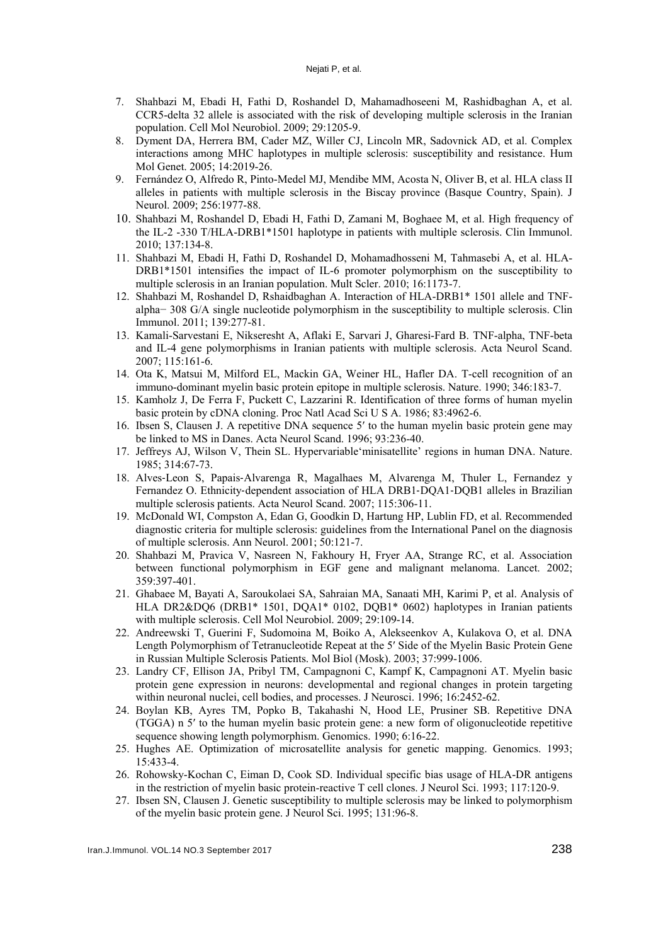- 7. Shahbazi M, Ebadi H, Fathi D, Roshandel D, Mahamadhoseeni M, Rashidbaghan A, et al. CCR5-delta 32 allele is associated with the risk of developing multiple sclerosis in the Iranian population. Cell Mol Neurobiol. 2009; 29:1205-9.
- 8. Dyment DA, Herrera BM, Cader MZ, Willer CJ, Lincoln MR, Sadovnick AD, et al. Complex interactions among MHC haplotypes in multiple sclerosis: susceptibility and resistance. Hum Mol Genet. 2005; 14:2019-26.
- 9. Fernández O, Alfredo R, Pinto-Medel MJ, Mendibe MM, Acosta N, Oliver B, et al. HLA class II alleles in patients with multiple sclerosis in the Biscay province (Basque Country, Spain). J Neurol. 2009; 256:1977-88.
- 10. Shahbazi M, Roshandel D, Ebadi H, Fathi D, Zamani M, Boghaee M, et al. High frequency of the IL-2 -330 T/HLA-DRB1\*1501 haplotype in patients with multiple sclerosis. Clin Immunol. 2010; 137:134-8.
- 11. Shahbazi M, Ebadi H, Fathi D, Roshandel D, Mohamadhosseni M, Tahmasebi A, et al. HLA-DRB1\*1501 intensifies the impact of IL-6 promoter polymorphism on the susceptibility to multiple sclerosis in an Iranian population. Mult Scler. 2010; 16:1173-7.
- 12. Shahbazi M, Roshandel D, Rshaidbaghan A. Interaction of HLA-DRB1\* 1501 allele and TNFalpha− 308 G/A single nucleotide polymorphism in the susceptibility to multiple sclerosis. Clin Immunol. 2011; 139:277-81.
- 13. Kamali-Sarvestani E, Nikseresht A, Aflaki E, Sarvari J, Gharesi-Fard B. TNF-alpha, TNF-beta and IL-4 gene polymorphisms in Iranian patients with multiple sclerosis. Acta Neurol Scand. 2007; 115:161-6.
- 14. Ota K, Matsui M, Milford EL, Mackin GA, Weiner HL, Hafler DA. T-cell recognition of an immuno-dominant myelin basic protein epitope in multiple sclerosis. Nature. 1990; 346:183-7.
- 15. Kamholz J, De Ferra F, Puckett C, Lazzarini R. Identification of three forms of human myelin basic protein by cDNA cloning. Proc Natl Acad Sci U S A. 1986; 83:4962-6.
- 16. Ibsen S, Clausen J. A repetitive DNA sequence 5′ to the human myelin basic protein gene may be linked to MS in Danes. Acta Neurol Scand. 1996; 93:236-40.
- 17. Jeffreys AJ, Wilson V, Thein SL. Hypervariable'minisatellite' regions in human DNA. Nature. 1985; 314:67-73.
- 18. Alves‐Leon S, Papais‐Alvarenga R, Magalhaes M, Alvarenga M, Thuler L, Fernandez y Fernandez O. Ethnicity-dependent association of HLA DRB1-DQA1-DQB1 alleles in Brazilian multiple sclerosis patients. Acta Neurol Scand. 2007; 115:306-11.
- 19. McDonald WI, Compston A, Edan G, Goodkin D, Hartung HP, Lublin FD, et al. Recommended diagnostic criteria for multiple sclerosis: guidelines from the International Panel on the diagnosis of multiple sclerosis. Ann Neurol. 2001; 50:121-7.
- 20. Shahbazi M, Pravica V, Nasreen N, Fakhoury H, Fryer AA, Strange RC, et al. Association between functional polymorphism in EGF gene and malignant melanoma. Lancet. 2002; 359:397-401.
- 21. Ghabaee M, Bayati A, Saroukolaei SA, Sahraian MA, Sanaati MH, Karimi P, et al. Analysis of HLA DR2&DQ6 (DRB1\* 1501, DQA1\* 0102, DQB1\* 0602) haplotypes in Iranian patients with multiple sclerosis. Cell Mol Neurobiol. 2009; 29:109-14.
- 22. Andreewski T, Guerini F, Sudomoina M, Boiko A, Alekseenkov A, Kulakova O, et al. DNA Length Polymorphism of Tetranucleotide Repeat at the 5′ Side of the Myelin Basic Protein Gene in Russian Multiple Sclerosis Patients. Mol Biol (Mosk). 2003; 37:999-1006.
- 23. Landry CF, Ellison JA, Pribyl TM, Campagnoni C, Kampf K, Campagnoni AT. Myelin basic protein gene expression in neurons: developmental and regional changes in protein targeting within neuronal nuclei, cell bodies, and processes. J Neurosci. 1996; 16:2452-62.
- 24. Boylan KB, Ayres TM, Popko B, Takahashi N, Hood LE, Prusiner SB. Repetitive DNA (TGGA) n 5′ to the human myelin basic protein gene: a new form of oligonucleotide repetitive sequence showing length polymorphism. Genomics. 1990; 6:16-22.
- 25. Hughes AE. Optimization of microsatellite analysis for genetic mapping. Genomics. 1993; 15:433-4.
- 26. Rohowsky-Kochan C, Eiman D, Cook SD. Individual specific bias usage of HLA-DR antigens in the restriction of myelin basic protein-reactive T cell clones. J Neurol Sci. 1993; 117:120-9.
- 27. Ibsen SN, Clausen J. Genetic susceptibility to multiple sclerosis may be linked to polymorphism of the myelin basic protein gene. J Neurol Sci. 1995; 131:96-8.